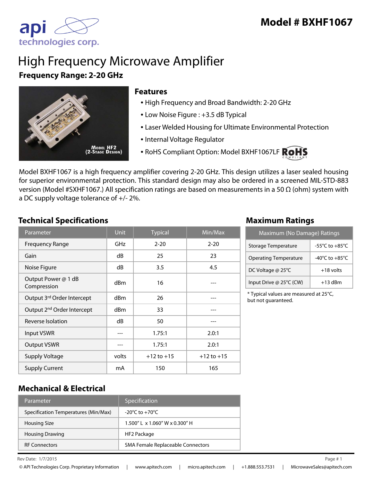

# High Frequency Microwave Amplifier **Frequency Range: 2-20 GHz**



#### **Features**

- High Frequency and Broad Bandwidth: 2-20 GHz
- Low Noise Figure : +3.5 dB Typical
- Laser Welded Housing for Ultimate Environmental Protection
- Internal Voltage Regulator
- RoHS Compliant Option: Model BXHF1067LF ROHS

Model BXHF1067 is a high frequency amplifier covering 2-20 GHz. This design utilizes a laser sealed housing for superior environmental protection. This standard design may also be ordered in a screened MIL-STD-883 version (Model #SXHF1067.) All specification ratings are based on measurements in a 50 Ω (ohm) system with a DC supply voltage tolerance of +/- 2%.

#### **Technical Specifications Maximum Ratings**

| Parameter                              | <b>Unit</b> | <b>Typical</b> | Min/Max        |
|----------------------------------------|-------------|----------------|----------------|
| <b>Frequency Range</b>                 | GHz         | $2 - 20$       | $2 - 20$       |
| Gain                                   | dB          | 25             | 23             |
| Noise Figure                           | dB          | 3.5            | 4.5            |
| Output Power @ 1 dB<br>Compression     | dBm         | 16             |                |
| Output 3rd Order Intercept             | dBm         | 26             |                |
| Output 2 <sup>nd</sup> Order Intercept | dBm         | 33             |                |
| Reverse Isolation                      | dB          | 50             |                |
| Input VSWR                             |             | 1.75:1         | 2.0:1          |
| <b>Output VSWR</b>                     |             | 1.75:1         | 2.0:1          |
| <b>Supply Voltage</b>                  | volts       | $+12$ to $+15$ | $+12$ to $+15$ |
| <b>Supply Current</b>                  | mA          | 150            | 165            |

| Maximum (No Damage) Ratings  |                                      |  |
|------------------------------|--------------------------------------|--|
| Storage Temperature          | $-55^{\circ}$ C to $+85^{\circ}$ C   |  |
| <b>Operating Temperature</b> | -40 $^{\circ}$ C to +85 $^{\circ}$ C |  |
| DC Voltage @ 25°C            | $+18$ volts                          |  |
| Input Drive @ 25°C (CW)      | $+13$ dBm                            |  |

\* Typical values are measured at 25°C, but not guaranteed.

#### **Mechanical & Electrical**

| Parameter                            | Specification                        |
|--------------------------------------|--------------------------------------|
| Specification Temperatures (Min/Max) | $-20^{\circ}$ C to $+70^{\circ}$ C   |
| <b>Housing Size</b>                  | $1.500''$   x $1.060''$ W x 0.300" H |
| <b>Housing Drawing</b>               | HF2 Package                          |
| <b>RF Connectors</b>                 | SMA Female Replaceable Connectors    |

 $\ell$  Rev Date:  $1/7/2015$  Page # 1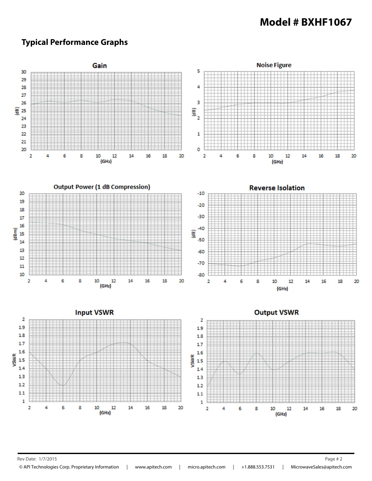#### **Typical Performance Graphs**



Rev Date: 1/7/2015 **Page # 2**